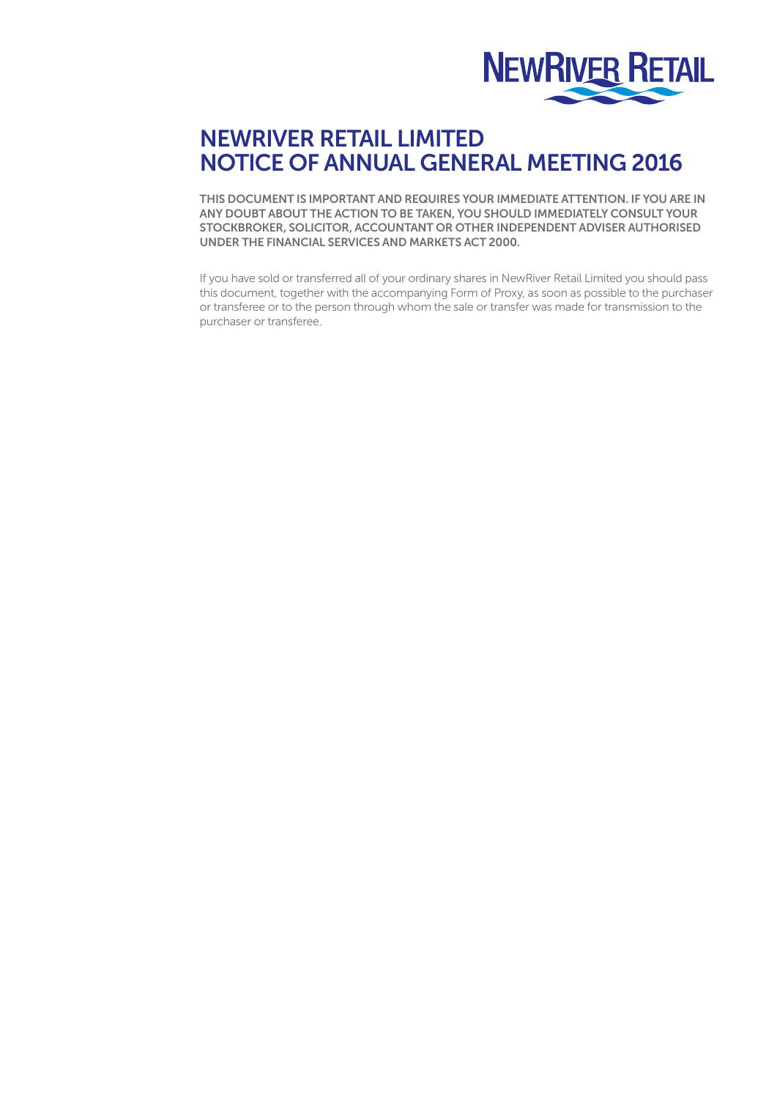

## NEWRIVER RETAIL LIMITED NOTICE OF ANNUAL GENERAL MEETING 2016

THIS DOCUMENT IS IMPORTANT AND REQUIRES YOUR IMMEDIATE ATTENTION. IF YOU ARE IN ANY DOUBT ABOUT THE ACTION TO BE TAKEN, YOU SHOULD IMMEDIATELY CONSULT YOUR STOCKBROKER, SOLICITOR, ACCOUNTANT OR OTHER INDEPENDENT ADVISER AUTHORISED UNDER THE FINANCIAL SERVICES AND MARKETS ACT 2000.

If you have sold or transferred all of your ordinary shares in NewRiver Retail Limited you should pass this document, together with the accompanying Form of Proxy, as soon as possible to the purchaser or transferee or to the person through whom the sale or transfer was made for transmission to the purchaser or transferee.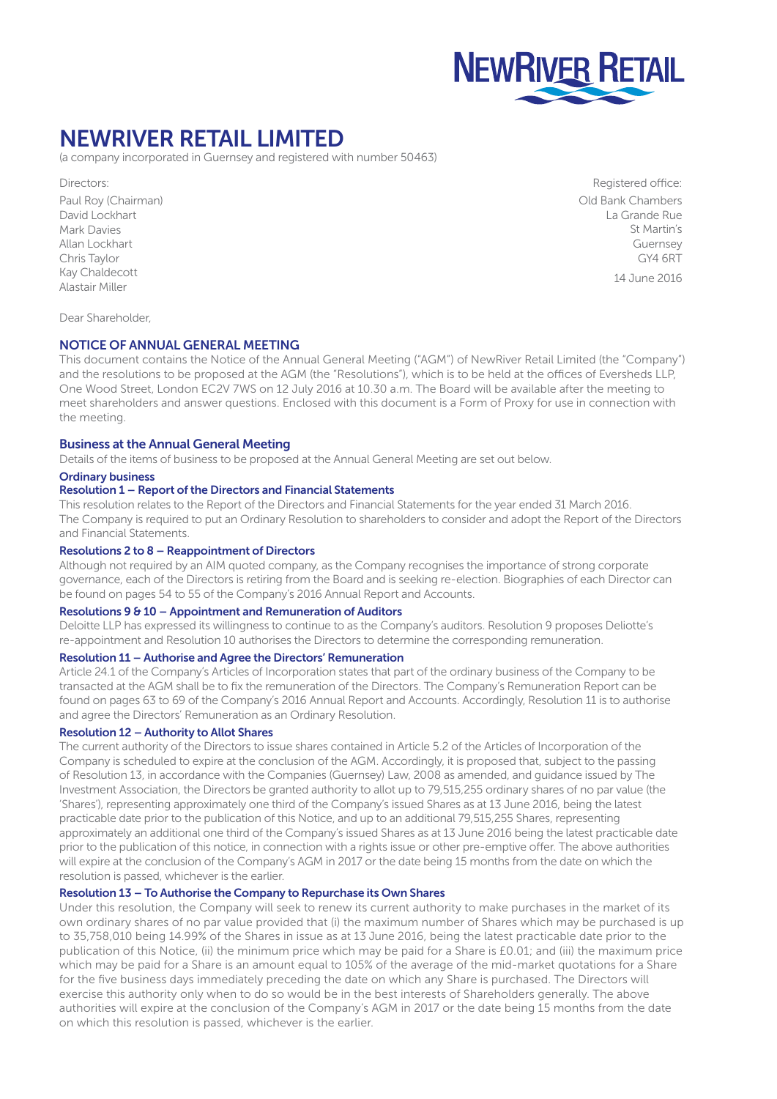

## NEWRIVER RETAIL LIMITED

(a company incorporated in Guernsey and registered with number 50463)

Directors: Paul Roy (Chairman) David Lockhart Mark Davies Allan Lockhart Chris Taylor Kay Chaldecott Alastair Miller

Registered office: Old Bank Chambers La Grande Rue St Martin's Guernsey GY4 6RT

14 June 2016

Dear Shareholder,

## NOTICE OF ANNUAL GENERAL MEETING

This document contains the Notice of the Annual General Meeting ("AGM") of NewRiver Retail Limited (the "Company") and the resolutions to be proposed at the AGM (the "Resolutions"), which is to be held at the offices of Eversheds LLP, One Wood Street, London EC2V 7WS on 12 July 2016 at 10.30 a.m. The Board will be available after the meeting to meet shareholders and answer questions. Enclosed with this document is a Form of Proxy for use in connection with the meeting.

### Business at the Annual General Meeting

Details of the items of business to be proposed at the Annual General Meeting are set out below.

#### Ordinary business

#### Resolution 1 – Report of the Directors and Financial Statements

This resolution relates to the Report of the Directors and Financial Statements for the year ended 31 March 2016. The Company is required to put an Ordinary Resolution to shareholders to consider and adopt the Report of the Directors and Financial Statements.

## Resolutions 2 to 8 – Reappointment of Directors

Although not required by an AIM quoted company, as the Company recognises the importance of strong corporate governance, each of the Directors is retiring from the Board and is seeking re-election. Biographies of each Director can be found on pages 54 to 55 of the Company's 2016 Annual Report and Accounts.

### Resolutions 9 & 10 – Appointment and Remuneration of Auditors

Deloitte LLP has expressed its willingness to continue to as the Company's auditors. Resolution 9 proposes Deliotte's re-appointment and Resolution 10 authorises the Directors to determine the corresponding remuneration.

## Resolution 11 – Authorise and Agree the Directors' Remuneration

Article 24.1 of the Company's Articles of Incorporation states that part of the ordinary business of the Company to be transacted at the AGM shall be to fix the remuneration of the Directors. The Company's Remuneration Report can be found on pages 63 to 69 of the Company's 2016 Annual Report and Accounts. Accordingly, Resolution 11 is to authorise and agree the Directors' Remuneration as an Ordinary Resolution.

#### Resolution 12 – Authority to Allot Shares

The current authority of the Directors to issue shares contained in Article 5.2 of the Articles of Incorporation of the Company is scheduled to expire at the conclusion of the AGM. Accordingly, it is proposed that, subject to the passing of Resolution 13, in accordance with the Companies (Guernsey) Law, 2008 as amended, and guidance issued by The Investment Association, the Directors be granted authority to allot up to 79,515,255 ordinary shares of no par value (the 'Shares'), representing approximately one third of the Company's issued Shares as at 13 June 2016, being the latest practicable date prior to the publication of this Notice, and up to an additional 79,515,255 Shares, representing approximately an additional one third of the Company's issued Shares as at 13 June 2016 being the latest practicable date prior to the publication of this notice, in connection with a rights issue or other pre-emptive offer. The above authorities will expire at the conclusion of the Company's AGM in 2017 or the date being 15 months from the date on which the resolution is passed, whichever is the earlier.

## Resolution 13 – To Authorise the Company to Repurchase its Own Shares

Under this resolution, the Company will seek to renew its current authority to make purchases in the market of its own ordinary shares of no par value provided that (i) the maximum number of Shares which may be purchased is up to 35,758,010 being 14.99% of the Shares in issue as at 13 June 2016, being the latest practicable date prior to the publication of this Notice, (ii) the minimum price which may be paid for a Share is £0.01; and (iii) the maximum price which may be paid for a Share is an amount equal to 105% of the average of the mid-market quotations for a Share for the five business days immediately preceding the date on which any Share is purchased. The Directors will exercise this authority only when to do so would be in the best interests of Shareholders generally. The above authorities will expire at the conclusion of the Company's AGM in 2017 or the date being 15 months from the date on which this resolution is passed, whichever is the earlier.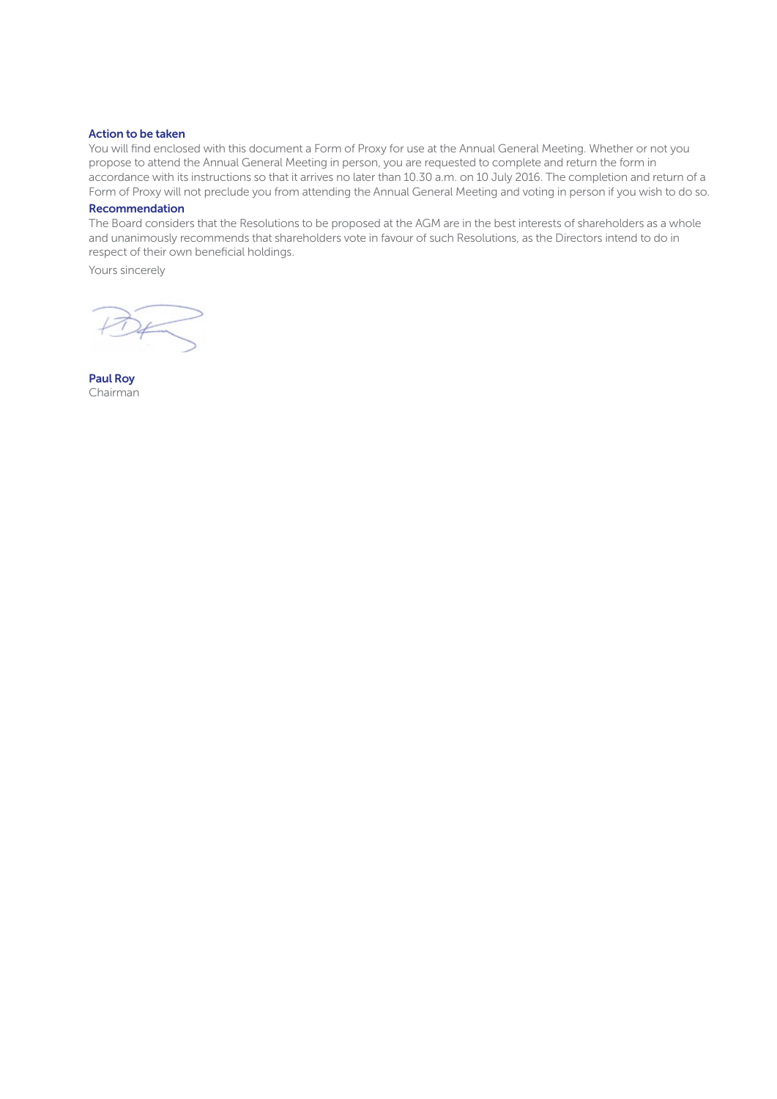#### Action to be taken

You will find enclosed with this document a Form of Proxy for use at the Annual General Meeting. Whether or not you propose to attend the Annual General Meeting in person, you are requested to complete and return the form in accordance with its instructions so that it arrives no later than 10.30 a.m. on 10 July 2016. The completion and return of a Form of Proxy will not preclude you from attending the Annual General Meeting and voting in person if you wish to do so.

## Recommendation

The Board considers that the Resolutions to be proposed at the AGM are in the best interests of shareholders as a whole and unanimously recommends that shareholders vote in favour of such Resolutions, as the Directors intend to do in respect of their own beneficial holdings.

Yours sincerely

Paul Roy Chairman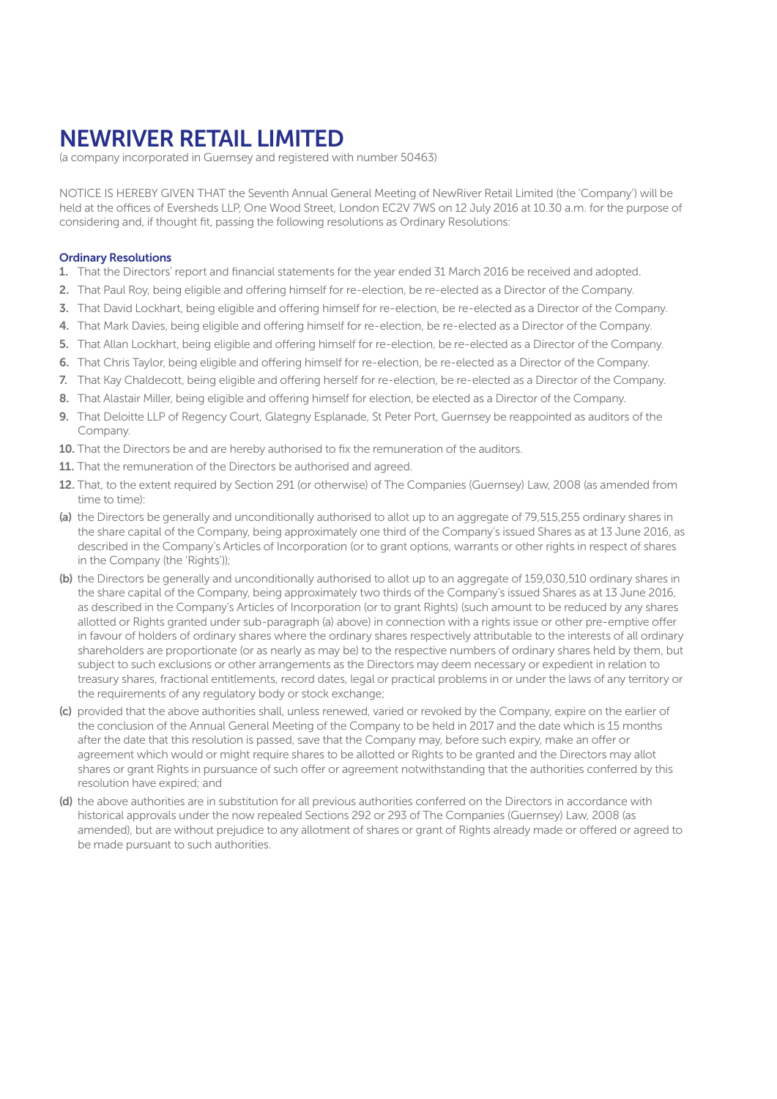# NEWRIVER RETAIL LIMITED

(a company incorporated in Guernsey and registered with number 50463)

NOTICE IS HEREBY GIVEN THAT the Seventh Annual General Meeting of NewRiver Retail Limited (the 'Company') will be held at the offices of Eversheds LLP, One Wood Street, London EC2V 7WS on 12 July 2016 at 10.30 a.m. for the purpose of considering and, if thought fit, passing the following resolutions as Ordinary Resolutions:

### Ordinary Resolutions

- 1. That the Directors' report and financial statements for the year ended 31 March 2016 be received and adopted.
- 2. That Paul Roy, being eligible and offering himself for re-election, be re-elected as a Director of the Company.
- 3. That David Lockhart, being eligible and offering himself for re-election, be re-elected as a Director of the Company.
- 4. That Mark Davies, being eligible and offering himself for re-election, be re-elected as a Director of the Company.
- 5. That Allan Lockhart, being eligible and offering himself for re-election, be re-elected as a Director of the Company.
- 6. That Chris Taylor, being eligible and offering himself for re-election, be re-elected as a Director of the Company.
- 7. That Kay Chaldecott, being eligible and offering herself for re-election, be re-elected as a Director of the Company.
- 8. That Alastair Miller, being eligible and offering himself for election, be elected as a Director of the Company.
- 9. That Deloitte LLP of Regency Court, Glategny Esplanade, St Peter Port, Guernsey be reappointed as auditors of the Company.
- 10. That the Directors be and are hereby authorised to fix the remuneration of the auditors.
- 11. That the remuneration of the Directors be authorised and agreed.
- 12. That, to the extent required by Section 291 (or otherwise) of The Companies (Guernsey) Law, 2008 (as amended from time to time):
- (a) the Directors be generally and unconditionally authorised to allot up to an aggregate of 79,515,255 ordinary shares in the share capital of the Company, being approximately one third of the Company's issued Shares as at 13 June 2016, as described in the Company's Articles of Incorporation (or to grant options, warrants or other rights in respect of shares in the Company (the 'Rights'));
- (b) the Directors be generally and unconditionally authorised to allot up to an aggregate of 159,030,510 ordinary shares in the share capital of the Company, being approximately two thirds of the Company's issued Shares as at 13 June 2016, as described in the Company's Articles of Incorporation (or to grant Rights) (such amount to be reduced by any shares allotted or Rights granted under sub-paragraph (a) above) in connection with a rights issue or other pre-emptive offer in favour of holders of ordinary shares where the ordinary shares respectively attributable to the interests of all ordinary shareholders are proportionate (or as nearly as may be) to the respective numbers of ordinary shares held by them, but subject to such exclusions or other arrangements as the Directors may deem necessary or expedient in relation to treasury shares, fractional entitlements, record dates, legal or practical problems in or under the laws of any territory or the requirements of any regulatory body or stock exchange;
- (c) provided that the above authorities shall, unless renewed, varied or revoked by the Company, expire on the earlier of the conclusion of the Annual General Meeting of the Company to be held in 2017 and the date which is 15 months after the date that this resolution is passed, save that the Company may, before such expiry, make an offer or agreement which would or might require shares to be allotted or Rights to be granted and the Directors may allot shares or grant Rights in pursuance of such offer or agreement notwithstanding that the authorities conferred by this resolution have expired; and
- (d) the above authorities are in substitution for all previous authorities conferred on the Directors in accordance with historical approvals under the now repealed Sections 292 or 293 of The Companies (Guernsey) Law, 2008 (as amended), but are without prejudice to any allotment of shares or grant of Rights already made or offered or agreed to be made pursuant to such authorities.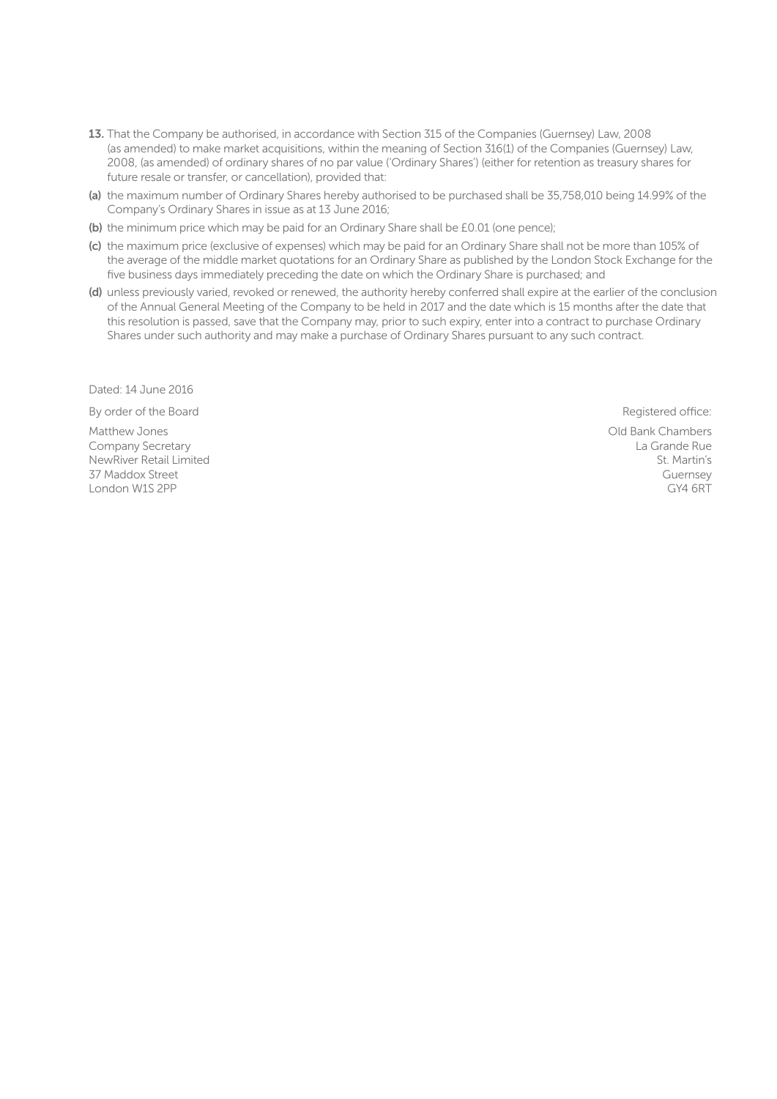- 13. That the Company be authorised, in accordance with Section 315 of the Companies (Guernsey) Law, 2008 (as amended) to make market acquisitions, within the meaning of Section 316(1) of the Companies (Guernsey) Law, 2008, (as amended) of ordinary shares of no par value ('Ordinary Shares') (either for retention as treasury shares for future resale or transfer, or cancellation), provided that:
- (a) the maximum number of Ordinary Shares hereby authorised to be purchased shall be 35,758,010 being 14.99% of the Company's Ordinary Shares in issue as at 13 June 2016;
- (b) the minimum price which may be paid for an Ordinary Share shall be £0.01 (one pence);
- (c) the maximum price (exclusive of expenses) which may be paid for an Ordinary Share shall not be more than 105% of the average of the middle market quotations for an Ordinary Share as published by the London Stock Exchange for the five business days immediately preceding the date on which the Ordinary Share is purchased; and
- (d) unless previously varied, revoked or renewed, the authority hereby conferred shall expire at the earlier of the conclusion of the Annual General Meeting of the Company to be held in 2017 and the date which is 15 months after the date that this resolution is passed, save that the Company may, prior to such expiry, enter into a contract to purchase Ordinary Shares under such authority and may make a purchase of Ordinary Shares pursuant to any such contract.

Dated: 14 June 2016

By order of the Board **Registered office: By order of the Board** Registered office:

Matthew Jones Company Secretary NewRiver Retail Limited 37 Maddox Street London W1S 2PP

Old Bank Chambers La Grande Rue St. Martin's Guernsey

GY4 6RT